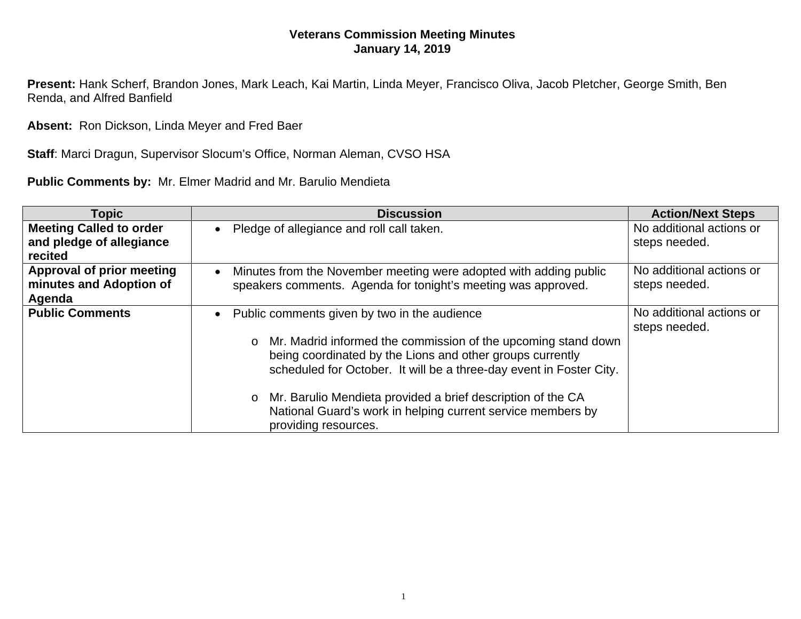## **Veterans Commission Meeting Minutes January 14, 2019**

**Present:** Hank Scherf, Brandon Jones, Mark Leach, Kai Martin, Linda Meyer, Francisco Oliva, Jacob Pletcher, George Smith, Ben Renda, and Alfred Banfield

**Absent:** Ron Dickson, Linda Meyer and Fred Baer

**Staff**: Marci Dragun, Supervisor Slocum's Office, Norman Aleman, CVSO HSA

**Public Comments by:** Mr. Elmer Madrid and Mr. Barulio Mendieta

| Topic                                                                 | <b>Discussion</b>                                                                                                                                             | <b>Action/Next Steps</b>                  |
|-----------------------------------------------------------------------|---------------------------------------------------------------------------------------------------------------------------------------------------------------|-------------------------------------------|
| <b>Meeting Called to order</b><br>and pledge of allegiance<br>recited | Pledge of allegiance and roll call taken.                                                                                                                     | No additional actions or<br>steps needed. |
| Approval of prior meeting<br>minutes and Adoption of<br>Agenda        | Minutes from the November meeting were adopted with adding public<br>speakers comments. Agenda for tonight's meeting was approved.                            | No additional actions or<br>steps needed. |
| <b>Public Comments</b>                                                | Public comments given by two in the audience<br>o Mr. Madrid informed the commission of the upcoming stand down                                               | No additional actions or<br>steps needed. |
|                                                                       | being coordinated by the Lions and other groups currently<br>scheduled for October. It will be a three-day event in Foster City.                              |                                           |
|                                                                       | Mr. Barulio Mendieta provided a brief description of the CA<br>$\circ$<br>National Guard's work in helping current service members by<br>providing resources. |                                           |